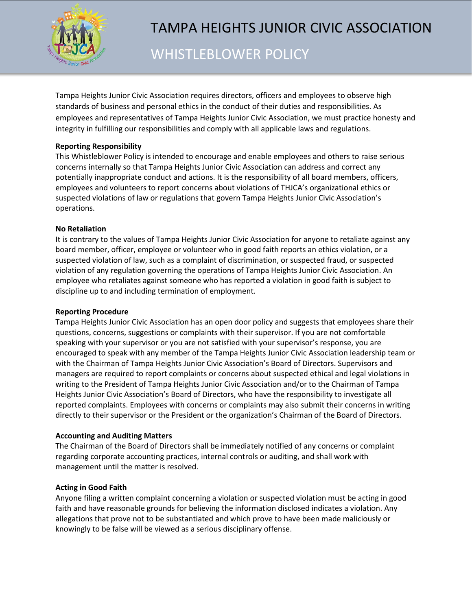

# TAMPA HEIGHTS JUNIOR CIVIC ASSOCIATION

WHISTLEBLOWER POLICY

Tampa Heights Junior Civic Association requires directors, officers and employees to observe high standards of business and personal ethics in the conduct of their duties and responsibilities. As employees and representatives of Tampa Heights Junior Civic Association, we must practice honesty and integrity in fulfilling our responsibilities and comply with all applicable laws and regulations.

# **Reporting Responsibility**

This Whistleblower Policy is intended to encourage and enable employees and others to raise serious concerns internally so that Tampa Heights Junior Civic Association can address and correct any potentially inappropriate conduct and actions. It is the responsibility of all board members, officers, employees and volunteers to report concerns about violations of THJCA's organizational ethics or suspected violations of law or regulations that govern Tampa Heights Junior Civic Association's operations.

## **No Retaliation**

It is contrary to the values of Tampa Heights Junior Civic Association for anyone to retaliate against any board member, officer, employee or volunteer who in good faith reports an ethics violation, or a suspected violation of law, such as a complaint of discrimination, or suspected fraud, or suspected violation of any regulation governing the operations of Tampa Heights Junior Civic Association. An employee who retaliates against someone who has reported a violation in good faith is subject to discipline up to and including termination of employment.

## **Reporting Procedure**

Tampa Heights Junior Civic Association has an open door policy and suggests that employees share their questions, concerns, suggestions or complaints with their supervisor. If you are not comfortable speaking with your supervisor or you are not satisfied with your supervisor's response, you are encouraged to speak with any member of the Tampa Heights Junior Civic Association leadership team or with the Chairman of Tampa Heights Junior Civic Association's Board of Directors. Supervisors and managers are required to report complaints or concerns about suspected ethical and legal violations in writing to the President of Tampa Heights Junior Civic Association and/or to the Chairman of Tampa Heights Junior Civic Association's Board of Directors, who have the responsibility to investigate all reported complaints. Employees with concerns or complaints may also submit their concerns in writing directly to their supervisor or the President or the organization's Chairman of the Board of Directors.

## **Accounting and Auditing Matters**

The Chairman of the Board of Directors shall be immediately notified of any concerns or complaint regarding corporate accounting practices, internal controls or auditing, and shall work with management until the matter is resolved.

## **Acting in Good Faith**

Anyone filing a written complaint concerning a violation or suspected violation must be acting in good faith and have reasonable grounds for believing the information disclosed indicates a violation. Any allegations that prove not to be substantiated and which prove to have been made maliciously or knowingly to be false will be viewed as a serious disciplinary offense.